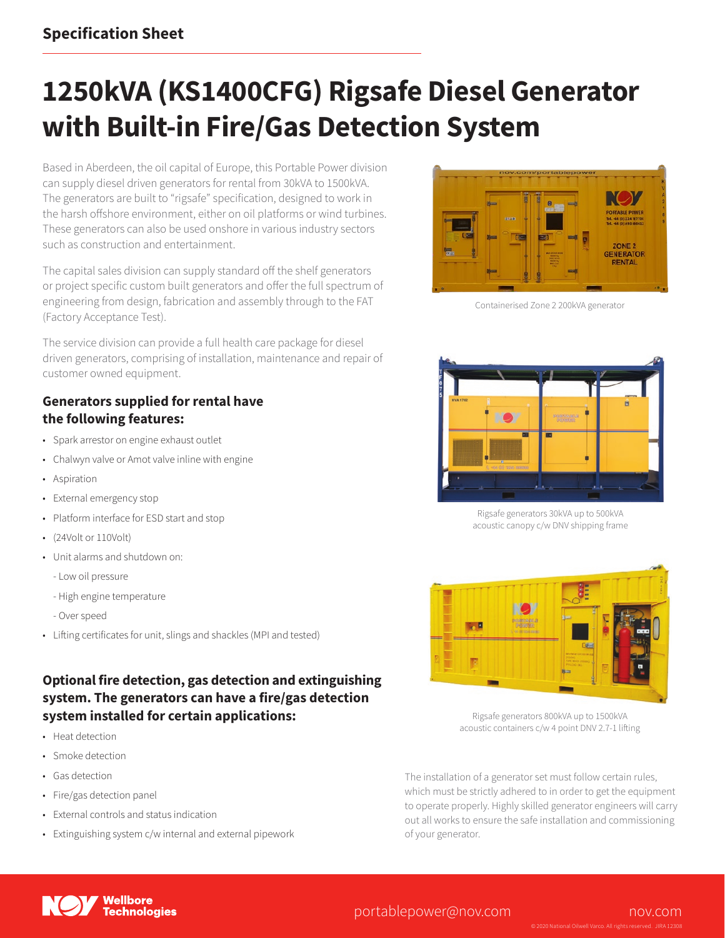# **1250kVA (KS1400CFG) Rigsafe Diesel Generator with Built-in Fire/Gas Detection System**

Based in Aberdeen, the oil capital of Europe, this Portable Power division can supply diesel driven generators for rental from 30kVA to 1500kVA. The generators are built to "rigsafe" specification, designed to work in the harsh offshore environment, either on oil platforms or wind turbines. These generators can also be used onshore in various industry sectors such as construction and entertainment.

The capital sales division can supply standard off the shelf generators or project specific custom built generators and offer the full spectrum of engineering from design, fabrication and assembly through to the FAT (Factory Acceptance Test).

The service division can provide a full health care package for diesel driven generators, comprising of installation, maintenance and repair of customer owned equipment.

#### **Generators supplied for rental have the following features:**

- Spark arrestor on engine exhaust outlet
- Chalwyn valve or Amot valve inline with engine
- Aspiration
- External emergency stop
- Platform interface for ESD start and stop
- (24Volt or 110Volt)
- Unit alarms and shutdown on:
	- Low oil pressure
	- High engine temperature
	- Over speed
- Lifting certificates for unit, slings and shackles (MPI and tested)

### **Optional fire detection, gas detection and extinguishing system. The generators can have a fire/gas detection system installed for certain applications:**

- Heat detection
- Smoke detection
- Gas detection
- Fire/gas detection panel
- External controls and status indication
- Extinguishing system c/w internal and external pipework



Containerised Zone 2 200kVA generator



Rigsafe generators 30kVA up to 500kVA acoustic canopy c/w DNV shipping frame



Rigsafe generators 800kVA up to 1500kVA acoustic containers c/w 4 point DNV 2.7-1 lifting

The installation of a generator set must follow certain rules, which must be strictly adhered to in order to get the equipment to operate properly. Highly skilled generator engineers will carry out all works to ensure the safe installation and commissioning of your generator.



### [portablepower@nov.com](mailto:portablepower%40nov.com?subject=) [nov.com](http://www.nov.com)